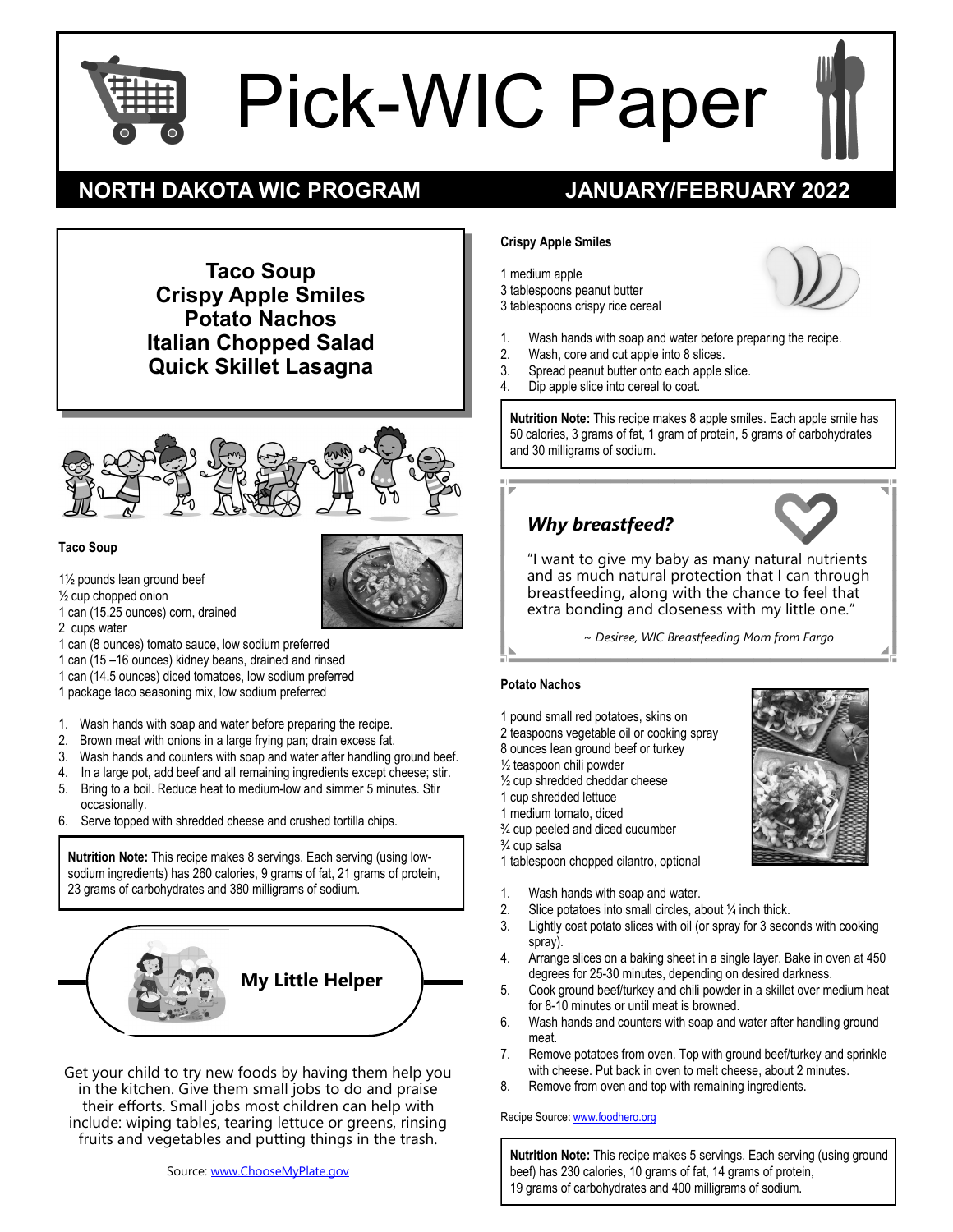

# Pick-WIC Paper

# **NORTH DAKOTA WIC PROGRAM JANUARY/FEBRUARY 2022**

**Taco Soup Crispy Apple Smiles Potato Nachos Italian Chopped Salad Quick Skillet Lasagna**



### **Taco Soup**

- 1½ pounds lean ground beef
- ½ cup chopped onion
- 1 can (15.25 ounces) corn, drained
- 2 cups water
- 1 can (8 ounces) tomato sauce, low sodium preferred
- 1 can (15 –16 ounces) kidney beans, drained and rinsed
- 1 can (14.5 ounces) diced tomatoes, low sodium preferred
- 1 package taco seasoning mix, low sodium preferred
- 1. Wash hands with soap and water before preparing the recipe.
- 2. Brown meat with onions in a large frying pan; drain excess fat.
- 3. Wash hands and counters with soap and water after handling ground beef.
- 4. In a large pot, add beef and all remaining ingredients except cheese; stir.
- 5. Bring to a boil. Reduce heat to medium-low and simmer 5 minutes. Stir occasionally.
- 6. Serve topped with shredded cheese and crushed tortilla chips.

**Nutrition Note:** This recipe makes 8 servings. Each serving (using lowsodium ingredients) has 260 calories, 9 grams of fat, 21 grams of protein, 23 grams of carbohydrates and 380 milligrams of sodium.



Get your child to try new foods by having them help you in the kitchen. Give them small jobs to do and praise their efforts. Small jobs most children can help with include: wiping tables, tearing lettuce or greens, rinsing fruits and vegetables and putting things in the trash.

#### **Crispy Apple Smiles**

1 medium apple 3 tablespoons peanut butter 3 tablespoons crispy rice cereal



- 1. Wash hands with soap and water before preparing the recipe.
- 2. Wash, core and cut apple into 8 slices.<br>3. Spread peanut butter onto each apple :
- Spread peanut butter onto each apple slice.
- 4. Dip apple slice into cereal to coat.

**Nutrition Note:** This recipe makes 8 apple smiles. Each apple smile has 50 calories, 3 grams of fat, 1 gram of protein, 5 grams of carbohydrates and 30 milligrams of sodium.

## *Why breastfeed?*



"I want to give my baby as many natural nutrients and as much natural protection that I can through breastfeeding, along with the chance to feel that extra bonding and closeness with my little one."

*~ Desiree, WIC Breastfeeding Mom from Fargo*

#### **Potato Nachos**

- 1 pound small red potatoes, skins on
- 2 teaspoons vegetable oil or cooking spray
- 8 ounces lean ground beef or turkey
- ½ teaspoon chili powder
- ½ cup shredded cheddar cheese
- 1 cup shredded lettuce
- 1 medium tomato, diced
- ¾ cup peeled and diced cucumber
- ¾ cup salsa
- 1 tablespoon chopped cilantro, optional
- 1. Wash hands with soap and water.
- 2. Slice potatoes into small circles, about  $\frac{1}{4}$  inch thick.<br>3. Lightly coat potato slices with oil (or spray for 3 sec
- Lightly coat potato slices with oil (or spray for 3 seconds with cooking spray).
- 4. Arrange slices on a baking sheet in a single layer. Bake in oven at 450 degrees for 25-30 minutes, depending on desired darkness.
- 5. Cook ground beef/turkey and chili powder in a skillet over medium heat for 8-10 minutes or until meat is browned.
- 6. Wash hands and counters with soap and water after handling ground meat.
- 7. Remove potatoes from oven. Top with ground beef/turkey and sprinkle with cheese. Put back in oven to melt cheese, about 2 minutes.
- 8. Remove from oven and top with remaining ingredients.

#### Recipe Source: [www.foodhero.org](http://www.foodhero.org)

**Nutrition Note:** This recipe makes 5 servings. Each serving (using ground beef) has 230 calories, 10 grams of fat, 14 grams of protein, 19 grams of carbohydrates and 400 milligrams of sodium.